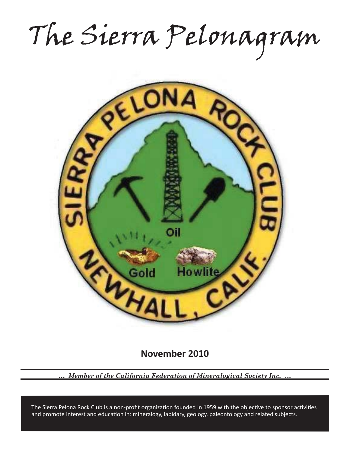The Sierra Pelonagram



**November 2010**

*… Member of the California Federation of Mineralogical Society Inc. …*

and promote interest and education in: mineralogy, lapidary, geology, paleontology and related subjects. The Sierra Pelona Rock Club is a non-profit organization founded in 1959 with the objective to sponsor activities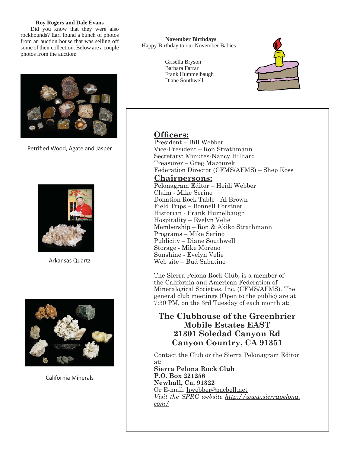# **Roy Rogers and Dale Evans**

 Did you know that they were also rockhounds? Earl found a bunch of photos from an auction house that was selling off some of their collection. Below are a couple photos from the auction:



Petrified Wood, Agate and Jasper



Arkansas Quartz



California Minerals

**November Birthdays** Happy Birthday to our November Babies

> Grisella Bryson Barbara Farrar Frank Hummelbaugh Diane Southwell



Officers:

President – Bill Webber Vice-President – Ron Strathmann Secretary: Minutes-Nancy Hilliard Treasurer – Greg Mazourek Federation Director (CFMS/AFMS) – Shep Koss

**Chairpersons:** Pelonagram Editor – Heidi Webber Claim - Mike Serino Donation Rock Table - Al Brown Field Trips – Bonnell Forstner Historian - Frank Humelbaugh Hospitality – Evelyn Velie Membership – Ron & Akiko Strathmann Programs – Mike Serino Publicity – Diane Southwell Storage - Mike Moreno Sunshine - Evelyn Velie Web site – Bud Sabatino

The Sierra Pelona Rock Club, is a member of the California and American Federation of Mineralogical Societies, Inc. (CFMS/AFMS). The general club meetings (Open to the public) are at 7:30 PM, on the 3rd Tuesday of each month at:

# **The Clubhouse of the Greenbrier Mobile Estates EAST 21301 Soledad Canyon Rd Canyon Country, CA 91351**

Contact the Club or the Sierra Pelonagram Editor at: **Sierra Pelona Rock Club**

**P.O. Box 221256 Newhall, Ca. 91322** Or E-mail: hwebber@pacbell.net *Visit the SPRC website http://www.sierrapelona. com/*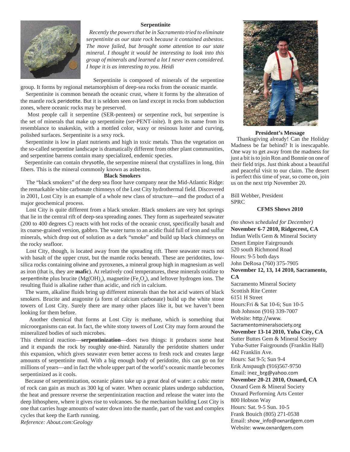## **Serpentinite**



 *Recently the powers that be in Sacramento tried to eliminate serpentinite as our state rock because it contained asbestos. The move failed, but brought some attention to our state mineral. I thought it would be interesting to look into this group of minerals and learned a lot I never even considered. I hope it is as interesting to you. Heidi*

 Serpentinite is composed of minerals of the serpentine group. It forms by regional metamorphism of deep-sea rocks from the oceanic mantle.

 Serpentinite is common beneath the oceanic crust, where it forms by the alteration of the mantle rock peridotite. But it is seldom seen on land except in rocks from subduction zones, where oceanic rocks may be preserved.

 Most people call it serpentine (SER-penteen) or serpentine rock, but serpentine is the set of minerals that make up serpentinite (ser-PENT-inite). It gets its name from its resemblance to snakeskin, with a mottled color, waxy or resinous luster and curving, polished surfaces. Serpentinite is a sexy rock.

 Serpentinite is low in plant nutrients and high in toxic metals. Thus the vegetation on the so-called serpentine landscape is dramatically different from other plant communities, and serpentine barrens contain many specialized, endemic species.

Serpentinite can contain chrysotile, the serpentine mineral that crystallizes in long, thin fibers. This is the mineral commonly known as asbestos.

#### **Black Smokers**

 The "black smokers" of the deep sea floor have company near the Mid-Atlantic Ridge: the remarkable white carbonate chimneys of the Lost City hydrothermal field. Discovered in 2001, Lost City is an example of a whole new class of structure—and the product of a major geochemical process.

 Lost City is quite different from a black smoker. Black smokers are very hot springs that lie in the central rift of deep-sea spreading zones. They form as superheated seawater (200 to 400 degrees C) reacts with hot rocks of the oceanic crust, specifically basalt and its coarse-grained version, gabbro. The water turns to an acidic fluid full of iron and sulfur minerals, which drop out of solution as a dark "smoke" and build up black chimneys on the rocky seafloor.

 Lost City, though, is located away from the spreading rift. There seawater reacts not with basalt of the upper crust, but the mantle rocks beneath. These are peridotites, lowsilica rocks containing olivine and pyroxenes, a mineral group high in magnesium as well as iron (that is, they are **mafic**). At relatively cool temperatures, these minerals oxidize to serpentinite plus brucite ( $Mg(OH)_{2}$ ), magnetite ( $Fe_{3}O_{4}$ ), and leftover hydrogen ions. The resulting fluid is alkaline rather than acidic, and rich in calcium.

 The warm, alkaline fluids bring up different minerals than the hot acid waters of black smokers. Brucite and aragonite (a form of calcium carbonate) build up the white stone towers of Lost City. Surely there are many other places like it, but we haven't been looking for them before.

 Another chemical that forms at Lost City is methane, which is something that microorganisms can eat. In fact, the white stony towers of Lost City may form around the mineralized bodies of such microbes.

This chemical reaction—**serpentinization**—does two things: it produces some heat and it expands the rock by roughly one-third. Naturally the peridotite shatters under this expansion, which gives seawater even better access to fresh rock and creates large amounts of serpentinite mud. With a big enough body of peridotite, this can go on for millions of years—and in fact the whole upper part of the world's oceanic mantle becomes serpentinized as it cools.

 Because of serpentinization, oceanic plates take up a great deal of water: a cubic meter of rock can gain as much as 300 kg of water. When oceanic plates undergo subduction, the heat and pressure reverse the serpentinization reaction and release the water into the deep lithosphere, where it gives rise to volcanoes. So the mechanism building Lost City is one that carries huge amounts of water down into the mantle, part of the vast and complex cycles that keep the Earth running. *Reference: About.com:Geology*



#### **President's Message**

 Thanksgiving already! Can the Holiday Madness be far behind? It is inescapable. One way to get away from the madness for just a bit is to join Ron and Bonnie on one of their field trips. Just think about a beautiful and peaceful visit to our claim. The desert is perfect this time of year, so come on, join us on the next trip November 20.

Bill Webber, President SPRC

#### **CFMS Shows 2010**

*(no shows scheduled for December)* **November 6-7 2010, Ridgecrest, CA** Indian Wells Gem & Mineral Society Desert Empire Fairgrounds 520 south Richmond Road Hours: 9-5 both days John DeRosa (760) 375-7905 **November 12, 13, 14 2010, Sacramento, CA** Sacramento Mineral Society Scottish Rite Center 6151 H Street Hours:Fri & Sat 10-6; Sun 10-5 Bob Johnson (916) 339-7007 Website: http://www. Sacramentomineralsociety.org **November 13-14 2010, Yuba City, CA** Sutter Buttes Gem & Mineral Society Yuba-Sutter Fairgrounds (Franklin Hall) 442 Franklin Ave. Hours: Sat 9-5; Sun 9-4 Erik Anspaugh (916)567-9750 Email: inez\_brg@yahoo.com **November 20-21 2010, Oxnard, CA** Oxnard Gem & Mineral Society Oxnard Performing Arts Center 800 Hobson Way Hours: Sat. 9-5 Sun. 10-5 Frank Bouich (805) 271-0538 Email: show\_info@oxnardgem.com Website: www.oxnardgem.com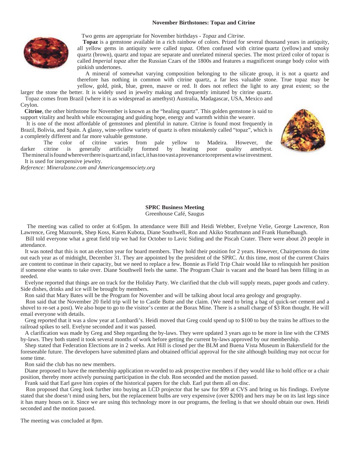#### **November Birthstones: Topaz and Citrine**



Two gems are appropriate for November birthdays - *Topaz* and *Citrine*.

**Topaz** is a gemstone available in a rich rainbow of colors. Prized for several thousand years in antiquity, all yellow gems in antiquity were called *topaz.* Often confused with citrine quartz (yellow) and smoky quartz (brown), quartz and topaz are separate and unrelated mineral species. The most prized color of topaz is called *Imperial topaz* after the Russian Czars of the 1800s and features a magnificent orange body color with pinkish undertones.

 A mineral of somewhat varying composition belonging to the silicate group, it is not a quartz and therefore has nothing in common with citrine quartz, a far less valuable stone. True topaz may be yellow, gold, pink, blue, green, mauve or red. It does not reflect the light to any great extent; so the

larger the stone the better. It is widely used in jewelry making and frequently imitated by citrine quartz. Topaz comes from Brazil (where it is as widespread as amethyst) Australia, Madagascar, USA, Mexico and Ceylon.

 **Citrine**, the other birthstone for November is known as the "healing quartz". This golden gemstone is said to support vitality and health while encouraging and guiding hope, energy and warmth within the wearer.

 It is one of the most affordable of gemstones and plentiful in nature. Citrine is found most frequently in Brazil, Bolivia, and Spain. A glassy, wine-yellow variety of quartz is often mistakenly called "topaz", which is a completely different and far more valuable gemstone.

 The color of citrine varies from pale yellow to Madeira. However, the darker citrine is generally artificially formed by heating poor quality amethyst. The mineral is found wherever there is quartz and, in fact, it has too vast a provenance to represent a wise investment. It is used for inexpensive jewelry.



*Reference: Mineralzone.com and Americangemsociety.org*

# **SPRC Business Meeting**

Greenhouse Café, Saugus

 The meeting was called to order at 6:45pm. In attendance were Bill and Heidi Webber, Evelyne Velie, George Lawrence, Ron Lawrence, Greg Mazourek, Shep Koss, Karen Kubota, Diane Southwell, Ron and Akiko Strathmann and Frank Humelbaugh.

 Bill told everyone what a great field trip we had for October to Lavic Siding and the Piscah Crater. There were about 20 people in attendance.

 It was noted that this is not an election year for board members. They hold their position for 2 years. However, Chairpersons do time out each year as of midnight, December 31. They are appointed by the president of the SPRC. At this time, most of the current Chairs are content to continue in their capacity, but we need to replace a few. Bonnie as Field Trip Chair would like to relinquish her position if someone else wants to take over. Diane Southwell feels the same. The Program Chair is vacant and the board has been filling in as needed.

 Evelyne reported that things are on track for the Holiday Party. We clarified that the club will supply meats, paper goods and cutlery. Side dishes, drinks and ice will be brought by members.

Ron said that Mary Bates will be the Program for November and will be talking about local area geology and geography.

 Ron said that the November 20 field trip will be to Castle Butte and the claim. (We need to bring a bag of quick-set cement and a shovel to re-set a post). We also hope to go to the visitor's center at the Borax Mine. There is a small charge of \$3 Ron thought. He will email everyone with details.

 Greg reported that it was a slow year at Lombardi's. Heidi moved that Greg could spend up to \$100 to buy the trains he affixes to the railroad spikes to sell. Evelyne seconded and it was passed.

 A clarification was made by Greg and Shep regarding the by-laws. They were updated 3 years ago to be more in line with the CFMS by-laws. They both stated it took several months of work before getting the current by-laws approved by our membership.

 Shep stated that Federation Elections are in 2 weeks. Ant Hill is closed per the BLM and Buena Vista Museum in Bakersfield for the foreseeable future. The developers have submitted plans and obtained official approval for the site although building may not occur for some time.

Ron said the club has no new members.

 Diane proposed to have the membership application re-worded to ask prospective members if they would like to hold office or a chair position, thereby more actively pursuing participation in the club. Ron seconded and the motion passed.

Frank said that Earl gave him copies of the historical papers for the club. Earl put them all on disc.

 Ron proposed that Greg look further into buying an LCD projector that he saw for \$99 at CVS and bring us his findings. Evelyne stated that she doesn't mind using hers, but the replacement bulbs are very expensive (over \$200) and hers may be on its last legs since it has many hours on it. Since we are using this technology more in our programs, the feeling is that we should obtain our own. Heidi seconded and the motion passed.

The meeting was concluded at 8pm.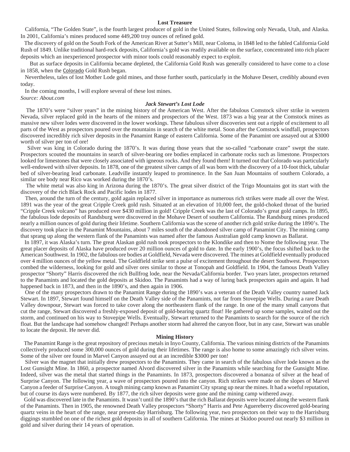#### **Lost Treasure**

 California, "The Golden State", is the fourth largest producer of gold in the United States, following only Nevada, Utah, and Alaska. In 2001, California's mines produced some 449,200 troy ounces of refined gold.

 The discovery of gold on the South Fork of the American River at Sutter's Mill, near Coloma, in 1848 led to the fabled California Gold Rush of 1849. Unlike traditional hard-rock deposits, California's gold was readily available on the surface, concentrated into rich placer deposits which an inexperienced prospector with minor tools could reasonably expect to exploit.

 But as surface deposits in California became depleted, the California Gold Rush was generally considered to have come to a close in 1858, when the Colorado Gold Rush began.

 Nevertheless, tales of lost Mother Lode gold mines, and those further south, particularly in the Mohave Desert, credibly abound even today.

In the coming months, I will explore several of these lost mines.

*Source: About.com*

### *Jack Stewart's Lost Lode*

 The 1870's were "silver years" in the mining history of the American West. After the fabulous Comstock silver strike in western Nevada, silver replaced gold in the hearts of the miners and prospectors of the West. 1873 was a big year at the Comstock mines as massive new silver lodes were discovered in the lower workings. These fabulous silver discoveries sent out a ripple of excitement to all parts of the West as prospectors poured over the mountains in search of the white metal. Soon after the Comstock windfall, prospectors discovered incredibly rich silver deposits in the Panamint Range of eastern California. Some of the Panamint ore assayed out at \$3000 worth of silver per ton of ore!

 Silver was king in Colorado during the 1870's. It was during those years that the so-called "carbonate craze" swept the state. Prospectors scouted the mountains in search of silver-bearing ore bodies emplaced in carbonate rocks such as limestone. Prospectors looked for limestones that were closely associated with igneous rocks. And they found them! It turned out that Colorado was particularly well-endowed with silver deposits. In 1878, one of the greatest silver camps of all was born with the discovery of a 10-foot thick, tabular bed of silver-bearing lead carbonate. Leadville instantly leaped to prominence. In the San Juan Mountains of southern Colorado, a similar ore body near Rico was worked during the 1870's.

 The white metal was also king in Arizona during the 1870's. The great silver district of the Trigo Mountains got its start with the discovery of the rich Black Rock and Pacific lodes in 1877.

 Then, around the turn of the century, gold again replaced silver in importance as numerous rich strikes were made all over the West. 1891 was the year of the great Cripple Creek gold rush. Situated at an elevation of 10,000 feet, the gold-choked throat of the buried "Cripple Creek volcano" has produced over \$430 million in gold! Cripple Creek was the last of Colorado's great gold camps. In 1895, the fabulous lode deposits of Randsburg were discovered in the Mohave Desert of southern California. The Randsburg mines produced nearly a million ounces of gold during their lifetime. Southern California was the scene of another rich gold strike during the 1890's. The discovery took place in the Panamint Mountains, about 7 miles south of the abandoned silver camp of Panamint City. The mining camp that sprang up along the western flank of the Panamints was named after the famous Australian gold camp known as Ballarat.

 In 1897, it was Alaska's turn. The great Alaskan gold rush took prospectors to the Klondike and then to Nome the following year. The great placer deposits of Alaska have produced over 20 million ounces of gold to date. In the early 1900's, the focus shifted back to the American Southwest. In 1902, the fabulous ore bodies at Goldfield, Nevada were discovered. The mines at Goldfield eventually produced over 4 million ounces of the yellow metal. The Goldfield strike sent a pulse of excitement throughout the desert Southwest. Prospectors combed the wilderness, looking for gold and silver ores similar to those at Tonopah and Goldfield. In 1904, the famous Death Valley prospector "Shorty" Harris discovered the rich Bullfrog lode, near the Nevada/California border. Two years later, prospectors returned to the Panamints and located the gold deposits at Skidoo. The Panamints had a way of luring back prospectors again and again. It had happened back in 1873, and then in the 1890's, and then again in 1906.

 One of the many prospectors drawn to the Panamint Range during the 1890's was a veteran of the Death Valley country named Jack Stewart. In 1897, Stewart found himself on the Death Valley side of the Panamints, not far from Stovepipe Wells. During a rare Death Valley downpour, Stewart was forced to take cover along the northeastern flank of the range. In one of the many small canyons that cut the range, Stewart discovered a freshly-exposed deposit of gold-bearing quartz float! He gathered up some samples, waited out the storm, and continued on his way to Stovepipe Wells. Eventually, Stewart returned to the Panamints to search for the source of the rich float. But the landscape had somehow changed! Perhaps another storm had altered the canyon floor, but in any case, Stewart was unable to locate the deposit. He never did.

#### **Mining History**

 The Panamint Range is the great repository of precious metals in Inyo County, California. The various mining districts of the Panamints collectively produced some 300,000 ounces of gold during their lifetimes. The range is also home to some amazingly rich silver veins. Some of the silver ore found in Marvel Canyon assayed out at an incredible \$3000 per ton!

 Silver was the magnet that initially drew prospectors to the Panamints. They came in search of the fabulous silver lode known as the Lost Gunsight Mine. In 1860, a prospector named Alvord discovered silver in the Panamints while searching for the Gunsight Mine. Indeed, silver was the metal that started things in the Panamints. In 1873, prospectors discovered a bonanza of silver at the head of Surprise Canyon. The following year, a wave of prospectors poured into the canyon. Rich strikes were made on the slopes of Marvel Canyon a feeder of Surprise Canyon. A tough mining camp known as Panamint City sprang up near the mines. It had a woeful reputation, but of course its days were numbered. By 1877, the rich silver deposits were gone and the mining camp withered away.

 Gold was discovered late in the Panamints. It wasn't until the 1890's that the rich Ballarat deposits were located along the western flank of the Panamints. Then in 1905, the renowned Death Valley prospectors "Shorty" Harris and Pete Aguereberry discovered gold-bearing quartz veins in the heart of the range, near present-day Harrisburg. The following year, two prospectors on their way to the Harrisburg diggings stumbled on one of the richest gold deposits in all of southern California. The mines at Skidoo poured out nearly \$3 million in gold and silver during their 14 years of operation.